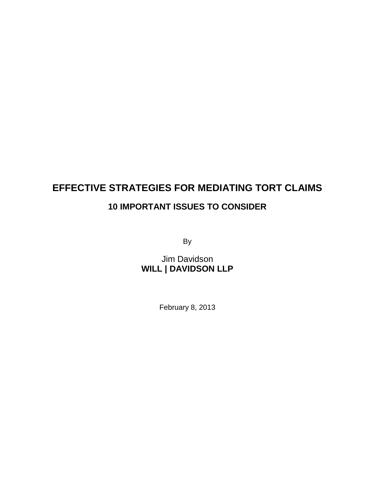# **EFFECTIVE STRATEGIES FOR MEDIATING TORT CLAIMS 10 IMPORTANT ISSUES TO CONSIDER**

By

Jim Davidson **WILL | DAVIDSON LLP**

February 8, 2013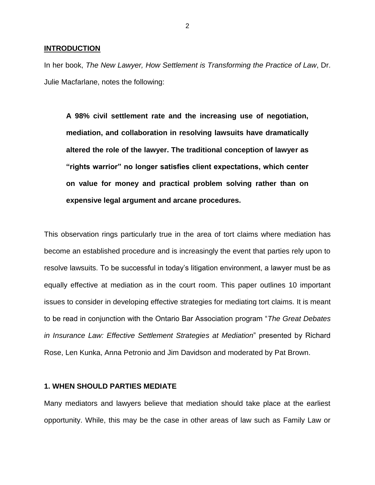#### **INTRODUCTION**

In her book, *The New Lawyer, How Settlement is Transforming the Practice of Law*, Dr. Julie Macfarlane, notes the following:

**A 98% civil settlement rate and the increasing use of negotiation, mediation, and collaboration in resolving lawsuits have dramatically altered the role of the lawyer. The traditional conception of lawyer as "rights warrior" no longer satisfies client expectations, which center on value for money and practical problem solving rather than on expensive legal argument and arcane procedures.**

This observation rings particularly true in the area of tort claims where mediation has become an established procedure and is increasingly the event that parties rely upon to resolve lawsuits. To be successful in today's litigation environment, a lawyer must be as equally effective at mediation as in the court room. This paper outlines 10 important issues to consider in developing effective strategies for mediating tort claims. It is meant to be read in conjunction with the Ontario Bar Association program "*The Great Debates in Insurance Law: Effective Settlement Strategies at Mediation*" presented by Richard Rose, Len Kunka, Anna Petronio and Jim Davidson and moderated by Pat Brown.

## **1. WHEN SHOULD PARTIES MEDIATE**

Many mediators and lawyers believe that mediation should take place at the earliest opportunity. While, this may be the case in other areas of law such as Family Law or

2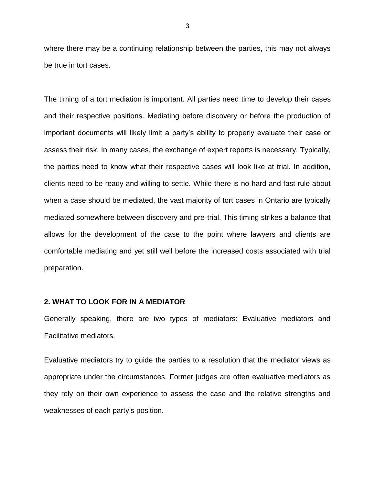where there may be a continuing relationship between the parties, this may not always be true in tort cases.

The timing of a tort mediation is important. All parties need time to develop their cases and their respective positions. Mediating before discovery or before the production of important documents will likely limit a party's ability to properly evaluate their case or assess their risk. In many cases, the exchange of expert reports is necessary. Typically, the parties need to know what their respective cases will look like at trial. In addition, clients need to be ready and willing to settle. While there is no hard and fast rule about when a case should be mediated, the vast majority of tort cases in Ontario are typically mediated somewhere between discovery and pre-trial. This timing strikes a balance that allows for the development of the case to the point where lawyers and clients are comfortable mediating and yet still well before the increased costs associated with trial preparation.

## **2. WHAT TO LOOK FOR IN A MEDIATOR**

Generally speaking, there are two types of mediators: Evaluative mediators and Facilitative mediators.

Evaluative mediators try to guide the parties to a resolution that the mediator views as appropriate under the circumstances. Former judges are often evaluative mediators as they rely on their own experience to assess the case and the relative strengths and weaknesses of each party's position.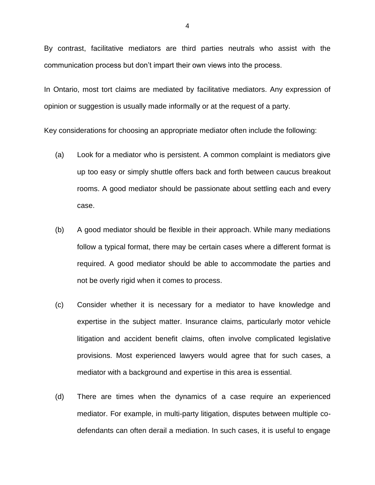By contrast, facilitative mediators are third parties neutrals who assist with the communication process but don't impart their own views into the process.

In Ontario, most tort claims are mediated by facilitative mediators. Any expression of opinion or suggestion is usually made informally or at the request of a party.

Key considerations for choosing an appropriate mediator often include the following:

- (a) Look for a mediator who is persistent. A common complaint is mediators give up too easy or simply shuttle offers back and forth between caucus breakout rooms. A good mediator should be passionate about settling each and every case.
- (b) A good mediator should be flexible in their approach. While many mediations follow a typical format, there may be certain cases where a different format is required. A good mediator should be able to accommodate the parties and not be overly rigid when it comes to process.
- (c) Consider whether it is necessary for a mediator to have knowledge and expertise in the subject matter. Insurance claims, particularly motor vehicle litigation and accident benefit claims, often involve complicated legislative provisions. Most experienced lawyers would agree that for such cases, a mediator with a background and expertise in this area is essential.
- (d) There are times when the dynamics of a case require an experienced mediator. For example, in multi-party litigation, disputes between multiple codefendants can often derail a mediation. In such cases, it is useful to engage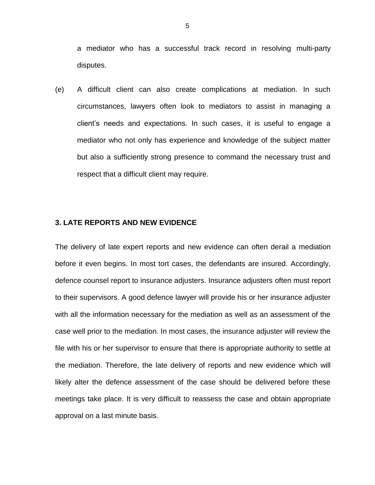a mediator who has a successful track record in resolving multi-party disputes.

(e) A difficult client can also create complications at mediation. In such circumstances, lawyers often look to mediators to assist in managing a client's needs and expectations. In such cases, it is useful to engage a mediator who not only has experience and knowledge of the subject matter but also a sufficiently strong presence to command the necessary trust and respect that a difficult client may require.

# **3. LATE REPORTS AND NEW EVIDENCE**

The delivery of late expert reports and new evidence can often derail a mediation before it even begins. In most tort cases, the defendants are insured. Accordingly, defence counsel report to insurance adjusters. Insurance adjusters often must report to their supervisors. A good defence lawyer will provide his or her insurance adjuster with all the information necessary for the mediation as well as an assessment of the case well prior to the mediation. In most cases, the insurance adjuster will review the file with his or her supervisor to ensure that there is appropriate authority to settle at the mediation. Therefore, the late delivery of reports and new evidence which will likely alter the defence assessment of the case should be delivered before these meetings take place. It is very difficult to reassess the case and obtain appropriate approval on a last minute basis.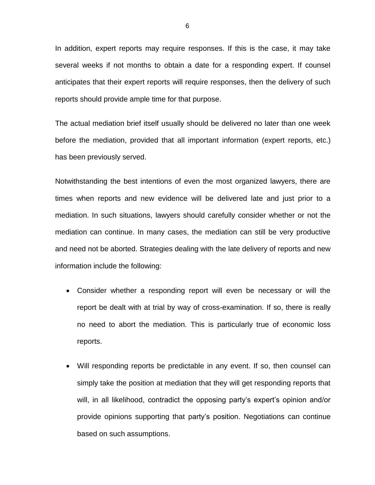In addition, expert reports may require responses. If this is the case, it may take several weeks if not months to obtain a date for a responding expert. If counsel anticipates that their expert reports will require responses, then the delivery of such reports should provide ample time for that purpose.

The actual mediation brief itself usually should be delivered no later than one week before the mediation, provided that all important information (expert reports, etc.) has been previously served.

Notwithstanding the best intentions of even the most organized lawyers, there are times when reports and new evidence will be delivered late and just prior to a mediation. In such situations, lawyers should carefully consider whether or not the mediation can continue. In many cases, the mediation can still be very productive and need not be aborted. Strategies dealing with the late delivery of reports and new information include the following:

- Consider whether a responding report will even be necessary or will the report be dealt with at trial by way of cross-examination. If so, there is really no need to abort the mediation. This is particularly true of economic loss reports.
- Will responding reports be predictable in any event. If so, then counsel can simply take the position at mediation that they will get responding reports that will, in all likelihood, contradict the opposing party's expert's opinion and/or provide opinions supporting that party's position. Negotiations can continue based on such assumptions.

6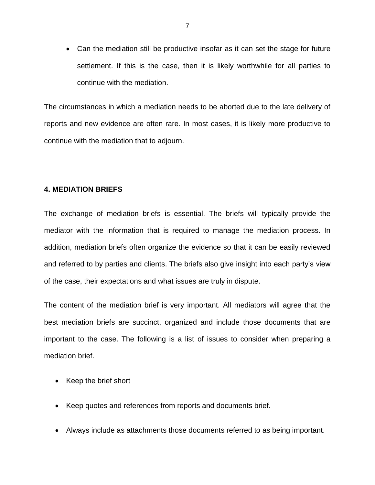Can the mediation still be productive insofar as it can set the stage for future settlement. If this is the case, then it is likely worthwhile for all parties to continue with the mediation.

The circumstances in which a mediation needs to be aborted due to the late delivery of reports and new evidence are often rare. In most cases, it is likely more productive to continue with the mediation that to adjourn.

# **4. MEDIATION BRIEFS**

The exchange of mediation briefs is essential. The briefs will typically provide the mediator with the information that is required to manage the mediation process. In addition, mediation briefs often organize the evidence so that it can be easily reviewed and referred to by parties and clients. The briefs also give insight into each party's view of the case, their expectations and what issues are truly in dispute.

The content of the mediation brief is very important. All mediators will agree that the best mediation briefs are succinct, organized and include those documents that are important to the case. The following is a list of issues to consider when preparing a mediation brief.

- Keep the brief short
- Keep quotes and references from reports and documents brief.
- Always include as attachments those documents referred to as being important.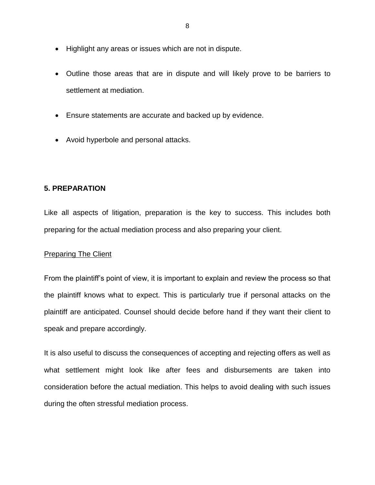- Highlight any areas or issues which are not in dispute.
- Outline those areas that are in dispute and will likely prove to be barriers to settlement at mediation.
- Ensure statements are accurate and backed up by evidence.
- Avoid hyperbole and personal attacks.

# **5. PREPARATION**

Like all aspects of litigation, preparation is the key to success. This includes both preparing for the actual mediation process and also preparing your client.

# Preparing The Client

From the plaintiff's point of view, it is important to explain and review the process so that the plaintiff knows what to expect. This is particularly true if personal attacks on the plaintiff are anticipated. Counsel should decide before hand if they want their client to speak and prepare accordingly.

It is also useful to discuss the consequences of accepting and rejecting offers as well as what settlement might look like after fees and disbursements are taken into consideration before the actual mediation. This helps to avoid dealing with such issues during the often stressful mediation process.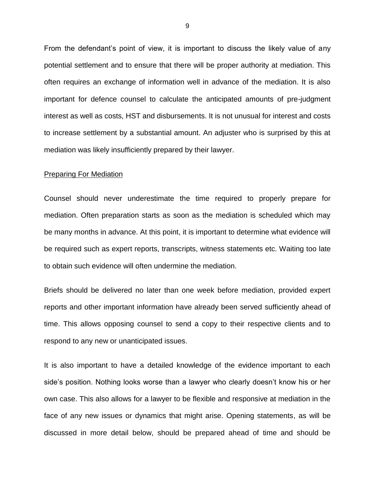From the defendant's point of view, it is important to discuss the likely value of any potential settlement and to ensure that there will be proper authority at mediation. This often requires an exchange of information well in advance of the mediation. It is also important for defence counsel to calculate the anticipated amounts of pre-judgment interest as well as costs, HST and disbursements. It is not unusual for interest and costs to increase settlement by a substantial amount. An adjuster who is surprised by this at mediation was likely insufficiently prepared by their lawyer.

#### Preparing For Mediation

Counsel should never underestimate the time required to properly prepare for mediation. Often preparation starts as soon as the mediation is scheduled which may be many months in advance. At this point, it is important to determine what evidence will be required such as expert reports, transcripts, witness statements etc. Waiting too late to obtain such evidence will often undermine the mediation.

Briefs should be delivered no later than one week before mediation, provided expert reports and other important information have already been served sufficiently ahead of time. This allows opposing counsel to send a copy to their respective clients and to respond to any new or unanticipated issues.

It is also important to have a detailed knowledge of the evidence important to each side's position. Nothing looks worse than a lawyer who clearly doesn't know his or her own case. This also allows for a lawyer to be flexible and responsive at mediation in the face of any new issues or dynamics that might arise. Opening statements, as will be discussed in more detail below, should be prepared ahead of time and should be

9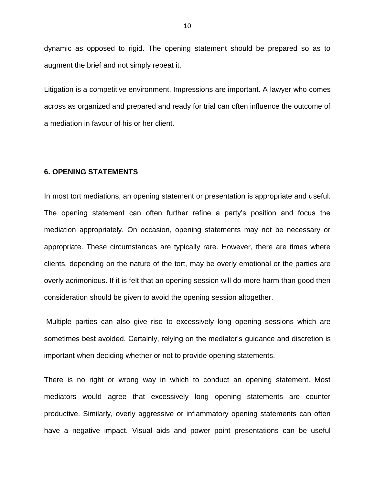dynamic as opposed to rigid. The opening statement should be prepared so as to augment the brief and not simply repeat it.

Litigation is a competitive environment. Impressions are important. A lawyer who comes across as organized and prepared and ready for trial can often influence the outcome of a mediation in favour of his or her client.

## **6. OPENING STATEMENTS**

In most tort mediations, an opening statement or presentation is appropriate and useful. The opening statement can often further refine a party's position and focus the mediation appropriately. On occasion, opening statements may not be necessary or appropriate. These circumstances are typically rare. However, there are times where clients, depending on the nature of the tort, may be overly emotional or the parties are overly acrimonious. If it is felt that an opening session will do more harm than good then consideration should be given to avoid the opening session altogether.

Multiple parties can also give rise to excessively long opening sessions which are sometimes best avoided. Certainly, relying on the mediator's guidance and discretion is important when deciding whether or not to provide opening statements.

There is no right or wrong way in which to conduct an opening statement. Most mediators would agree that excessively long opening statements are counter productive. Similarly, overly aggressive or inflammatory opening statements can often have a negative impact. Visual aids and power point presentations can be useful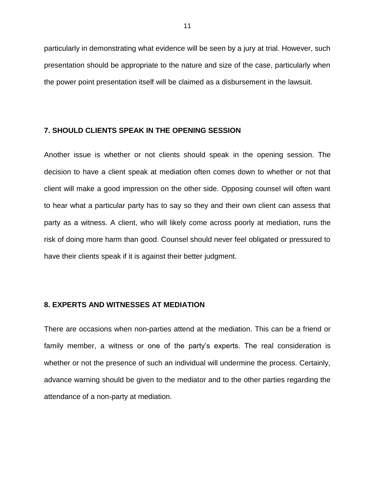particularly in demonstrating what evidence will be seen by a jury at trial. However, such presentation should be appropriate to the nature and size of the case, particularly when the power point presentation itself will be claimed as a disbursement in the lawsuit.

# **7. SHOULD CLIENTS SPEAK IN THE OPENING SESSION**

Another issue is whether or not clients should speak in the opening session. The decision to have a client speak at mediation often comes down to whether or not that client will make a good impression on the other side. Opposing counsel will often want to hear what a particular party has to say so they and their own client can assess that party as a witness. A client, who will likely come across poorly at mediation, runs the risk of doing more harm than good. Counsel should never feel obligated or pressured to have their clients speak if it is against their better judgment.

# **8. EXPERTS AND WITNESSES AT MEDIATION**

There are occasions when non-parties attend at the mediation. This can be a friend or family member, a witness or one of the party's experts. The real consideration is whether or not the presence of such an individual will undermine the process. Certainly, advance warning should be given to the mediator and to the other parties regarding the attendance of a non-party at mediation.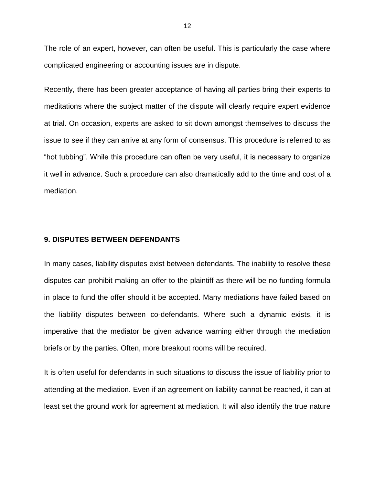The role of an expert, however, can often be useful. This is particularly the case where complicated engineering or accounting issues are in dispute.

Recently, there has been greater acceptance of having all parties bring their experts to meditations where the subject matter of the dispute will clearly require expert evidence at trial. On occasion, experts are asked to sit down amongst themselves to discuss the issue to see if they can arrive at any form of consensus. This procedure is referred to as "hot tubbing". While this procedure can often be very useful, it is necessary to organize it well in advance. Such a procedure can also dramatically add to the time and cost of a mediation.

## **9. DISPUTES BETWEEN DEFENDANTS**

In many cases, liability disputes exist between defendants. The inability to resolve these disputes can prohibit making an offer to the plaintiff as there will be no funding formula in place to fund the offer should it be accepted. Many mediations have failed based on the liability disputes between co-defendants. Where such a dynamic exists, it is imperative that the mediator be given advance warning either through the mediation briefs or by the parties. Often, more breakout rooms will be required.

It is often useful for defendants in such situations to discuss the issue of liability prior to attending at the mediation. Even if an agreement on liability cannot be reached, it can at least set the ground work for agreement at mediation. It will also identify the true nature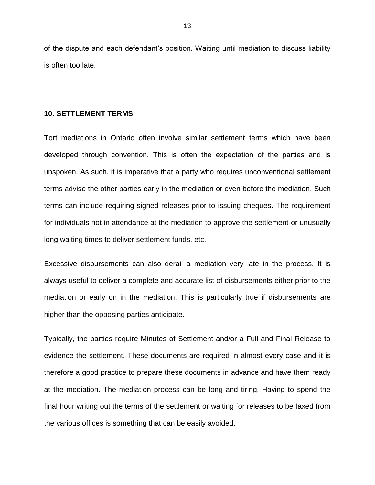of the dispute and each defendant's position. Waiting until mediation to discuss liability is often too late.

#### **10. SETTLEMENT TERMS**

Tort mediations in Ontario often involve similar settlement terms which have been developed through convention. This is often the expectation of the parties and is unspoken. As such, it is imperative that a party who requires unconventional settlement terms advise the other parties early in the mediation or even before the mediation. Such terms can include requiring signed releases prior to issuing cheques. The requirement for individuals not in attendance at the mediation to approve the settlement or unusually long waiting times to deliver settlement funds, etc.

Excessive disbursements can also derail a mediation very late in the process. It is always useful to deliver a complete and accurate list of disbursements either prior to the mediation or early on in the mediation. This is particularly true if disbursements are higher than the opposing parties anticipate.

Typically, the parties require Minutes of Settlement and/or a Full and Final Release to evidence the settlement. These documents are required in almost every case and it is therefore a good practice to prepare these documents in advance and have them ready at the mediation. The mediation process can be long and tiring. Having to spend the final hour writing out the terms of the settlement or waiting for releases to be faxed from the various offices is something that can be easily avoided.